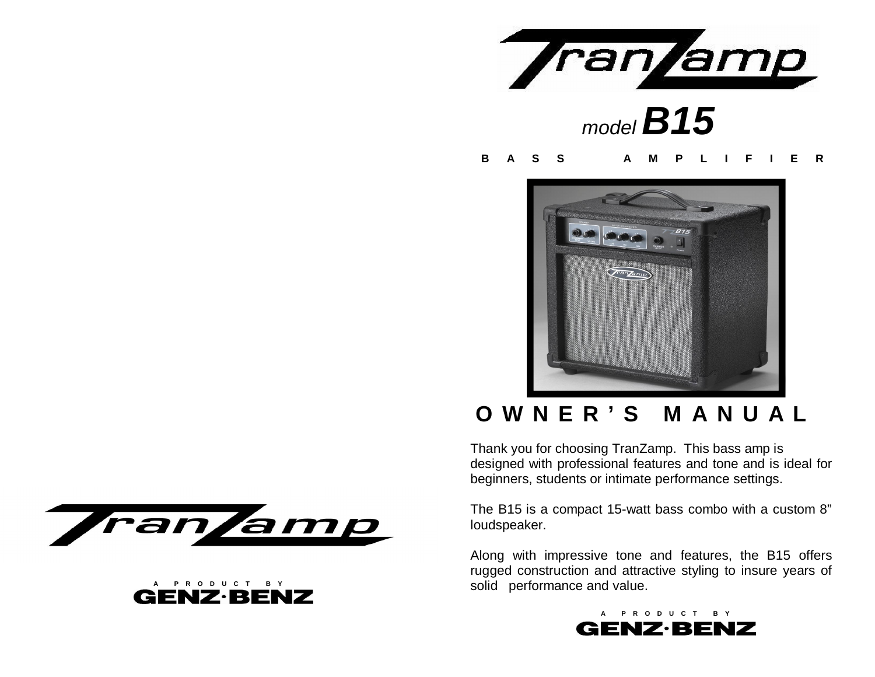

#### **BASS AMPLIFIER**



# **OWNER'S MANUAL**

Thank you for choosing TranZamp. This bass amp is designed with professional features and tone and is ideal for beginners, students or intimate performance settings.

The B15 is a compact 15-watt bass combo with a custom 8" loudspeaker.

Along with impressive tone and features, the B15 offers rugged construction and attractive styling to insure years of solid performance and value.